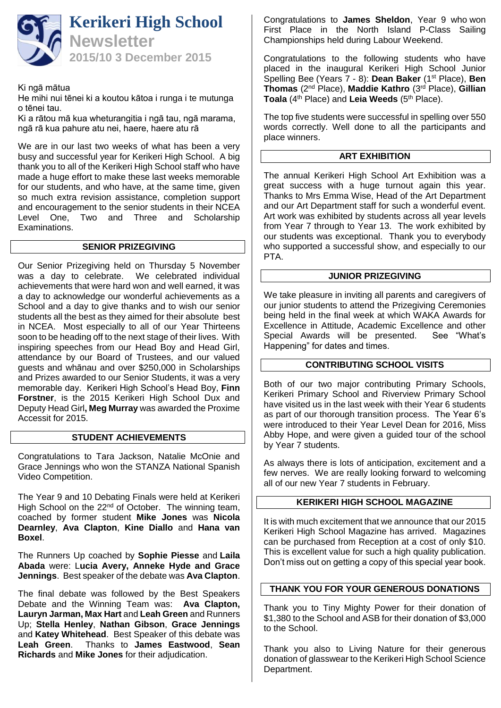

Ki ngā mātua

He mihi nui tēnei ki a koutou kātoa i runga i te mutunga o tēnei tau.

Ki a rātou mā kua wheturangitia i ngā tau, ngā marama, ngā rā kua pahure atu nei, haere, haere atu rā

We are in our last two weeks of what has been a very busy and successful year for Kerikeri High School. A big thank you to all of the Kerikeri High School staff who have made a huge effort to make these last weeks memorable for our students, and who have, at the same time, given so much extra revision assistance, completion support and encouragement to the senior students in their NCEA Level One, Two and Three and Scholarship Examinations.

### **SENIOR PRIZEGIVING**

Our Senior Prizegiving held on Thursday 5 November was a day to celebrate. We celebrated individual achievements that were hard won and well earned, it was a day to acknowledge our wonderful achievements as a School and a day to give thanks and to wish our senior students all the best as they aimed for their absolute best in NCEA. Most especially to all of our Year Thirteens soon to be heading off to the next stage of their lives. With inspiring speeches from our Head Boy and Head Girl, attendance by our Board of Trustees, and our valued guests and whānau and over \$250,000 in Scholarships and Prizes awarded to our Senior Students, it was a very memorable day. Kerikeri High School's Head Boy, **Finn Forstner**, is the 2015 Kerikeri High School Dux and Deputy Head Girl**, Meg Murray** was awarded the Proxime Accessit for 2015.

## **STUDENT ACHIEVEMENTS**

Congratulations to Tara Jackson, Natalie McOnie and Grace Jennings who won the STANZA National Spanish Video Competition.

The Year 9 and 10 Debating Finals were held at Kerikeri High School on the 22<sup>nd</sup> of October. The winning team, coached by former student **Mike Jones** was **Nicola Dearnley**, **Ava Clapton**, **Kine Diallo** and **Hana van Boxel**.

The Runners Up coached by **Sophie Piesse** and **Laila Abada** were: L**ucia Avery, Anneke Hyde and Grace Jennings**. Best speaker of the debate was **Ava Clapton**.

The final debate was followed by the Best Speakers Debate and the Winning Team was: **Ava Clapton, Lauryn Jarman, Max Hart** and **Leah Green** and Runners Up; **Stella Henley**, **Nathan Gibson**, **Grace Jennings** and **Katey Whitehead**. Best Speaker of this debate was **Leah Green**. Thanks to **James Eastwood**, **Sean Richards** and **Mike Jones** for their adjudication.

Congratulations to **James Sheldon**, Year 9 who won First Place in the North Island P-Class Sailing Championships held during Labour Weekend.

Congratulations to the following students who have placed in the inaugural Kerikeri High School Junior Spelling Bee (Years 7 - 8): **Dean Baker** (1st Place), **Ben Thomas** (2nd Place), **Maddie Kathro** (3rd Place), **Gillian**  Toala (4<sup>th</sup> Place) and Leia Weeds (5<sup>th</sup> Place).

The top five students were successful in spelling over 550 words correctly. Well done to all the participants and place winners.

### **ART EXHIBITION**

The annual Kerikeri High School Art Exhibition was a great success with a huge turnout again this year. Thanks to Mrs Emma Wise, Head of the Art Department and our Art Department staff for such a wonderful event. Art work was exhibited by students across all year levels from Year 7 through to Year 13. The work exhibited by our students was exceptional. Thank you to everybody who supported a successful show, and especially to our PTA.

#### **JUNIOR PRIZEGIVING**

We take pleasure in inviting all parents and caregivers of our junior students to attend the Prizegiving Ceremonies being held in the final week at which WAKA Awards for Excellence in Attitude, Academic Excellence and other<br>Special Awards will be presented. See "What's Special Awards will be presented. Happening" for dates and times.

### **CONTRIBUTING SCHOOL VISITS**

Both of our two major contributing Primary Schools, Kerikeri Primary School and Riverview Primary School have visited us in the last week with their Year 6 students as part of our thorough transition process. The Year 6's were introduced to their Year Level Dean for 2016, Miss Abby Hope, and were given a guided tour of the school by Year 7 students.

As always there is lots of anticipation, excitement and a few nerves. We are really looking forward to welcoming all of our new Year 7 students in February.

### **KERIKERI HIGH SCHOOL MAGAZINE**

It is with much excitement that we announce that our 2015 Kerikeri High School Magazine has arrived. Magazines can be purchased from Reception at a cost of only \$10. This is excellent value for such a high quality publication. Don't miss out on getting a copy of this special year book.

### **THANK YOU FOR YOUR GENEROUS DONATIONS**

Thank you to Tiny Mighty Power for their donation of \$1,380 to the School and ASB for their donation of \$3,000 to the School.

Thank you also to Living Nature for their generous donation of glasswear to the Kerikeri High School Science Department.